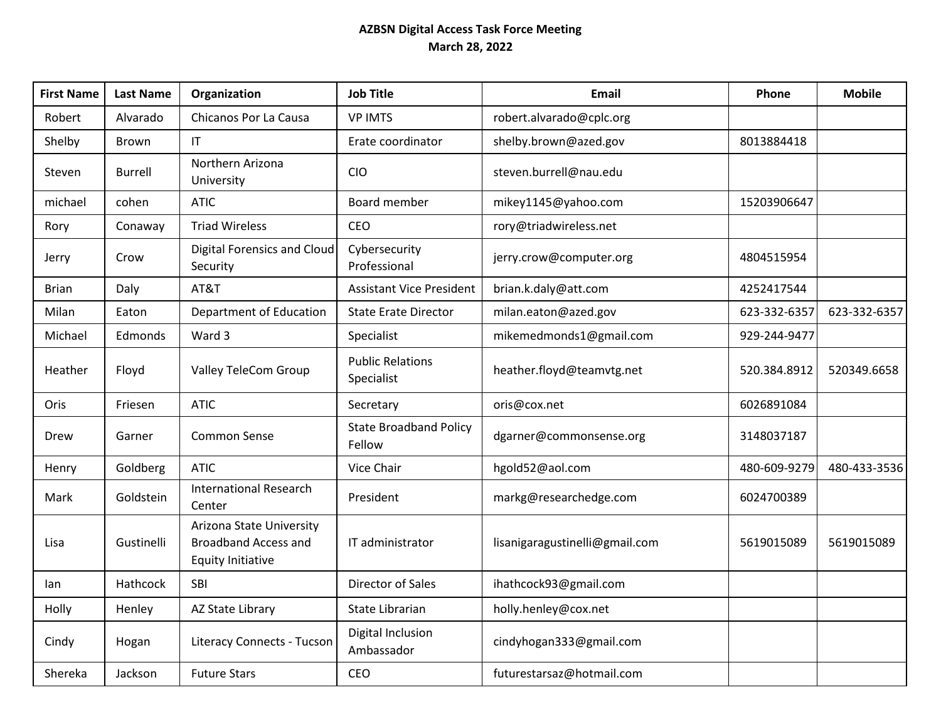## **AZBSN Digital Access Task Force Meeting March 28, 2022**

| <b>First Name</b> | <b>Last Name</b> | Organization                                                                        | <b>Job Title</b>                        | <b>Email</b>                   | Phone        | <b>Mobile</b> |
|-------------------|------------------|-------------------------------------------------------------------------------------|-----------------------------------------|--------------------------------|--------------|---------------|
| Robert            | Alvarado         | Chicanos Por La Causa                                                               | <b>VP IMTS</b>                          | robert.alvarado@cplc.org       |              |               |
| Shelby            | Brown            | IT                                                                                  | Erate coordinator                       | shelby.brown@azed.gov          | 8013884418   |               |
| Steven            | <b>Burrell</b>   | Northern Arizona<br>University                                                      | <b>CIO</b>                              | steven.burrell@nau.edu         |              |               |
| michael           | cohen            | <b>ATIC</b>                                                                         | Board member                            | mikey1145@yahoo.com            | 15203906647  |               |
| Rory              | Conaway          | <b>Triad Wireless</b>                                                               | CEO                                     | rory@triadwireless.net         |              |               |
| Jerry             | Crow             | Digital Forensics and Cloud<br>Security                                             | Cybersecurity<br>Professional           | jerry.crow@computer.org        | 4804515954   |               |
| <b>Brian</b>      | Daly             | AT&T                                                                                | <b>Assistant Vice President</b>         | brian.k.daly@att.com           | 4252417544   |               |
| Milan             | Eaton            | Department of Education                                                             | <b>State Erate Director</b>             | milan.eaton@azed.gov           | 623-332-6357 | 623-332-6357  |
| Michael           | Edmonds          | Ward 3                                                                              | Specialist                              | mikemedmonds1@gmail.com        | 929-244-9477 |               |
| Heather           | Floyd            | Valley TeleCom Group                                                                | <b>Public Relations</b><br>Specialist   | heather.floyd@teamvtg.net      | 520.384.8912 | 520349.6658   |
| Oris              | Friesen          | <b>ATIC</b>                                                                         | Secretary                               | oris@cox.net                   | 6026891084   |               |
| Drew              | Garner           | <b>Common Sense</b>                                                                 | <b>State Broadband Policy</b><br>Fellow | dgarner@commonsense.org        | 3148037187   |               |
| Henry             | Goldberg         | <b>ATIC</b>                                                                         | Vice Chair                              | hgold52@aol.com                | 480-609-9279 | 480-433-3536  |
| Mark              | Goldstein        | <b>International Research</b><br>Center                                             | President                               | markg@researchedge.com         | 6024700389   |               |
| Lisa              | Gustinelli       | Arizona State University<br><b>Broadband Access and</b><br><b>Equity Initiative</b> | IT administrator                        | lisanigaragustinelli@gmail.com | 5619015089   | 5619015089    |
| lan               | Hathcock         | SBI                                                                                 | Director of Sales                       | ihathcock93@gmail.com          |              |               |
| Holly             | Henley           | AZ State Library                                                                    | State Librarian                         | holly.henley@cox.net           |              |               |
| Cindy             | Hogan            | <b>Literacy Connects - Tucson</b>                                                   | Digital Inclusion<br>Ambassador         | cindyhogan333@gmail.com        |              |               |
| Shereka           | Jackson          | <b>Future Stars</b>                                                                 | CEO                                     | futurestarsaz@hotmail.com      |              |               |
|                   |                  |                                                                                     |                                         |                                |              |               |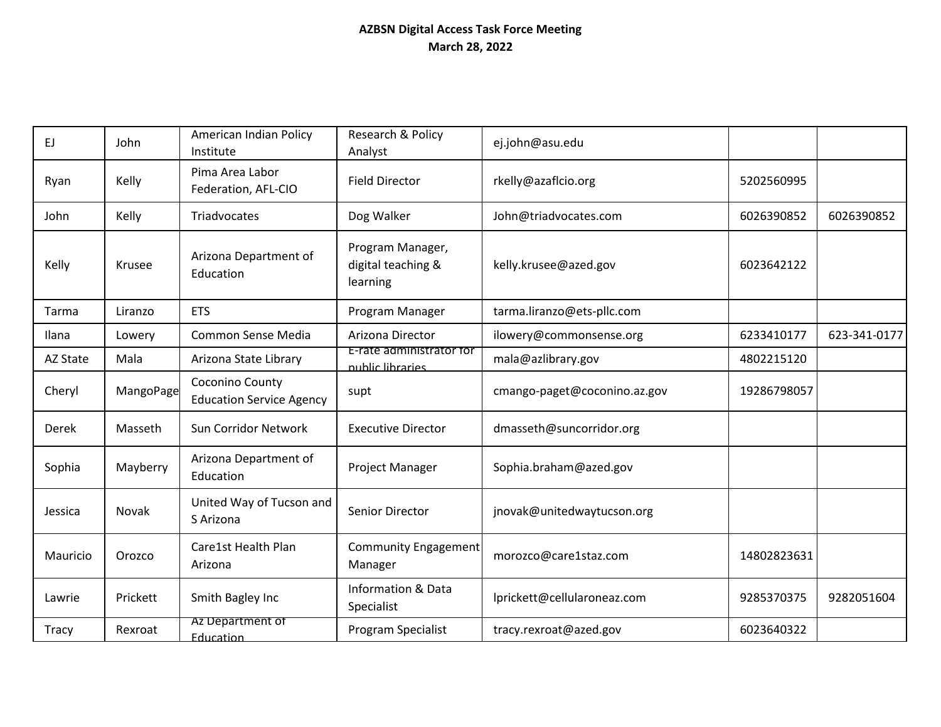## **AZBSN Digital Access Task Force Meeting March 28, 2022**

| EJ.      | John      | American Indian Policy<br>Institute                | Research & Policy<br>Analyst                       | ej.john@asu.edu              |             |              |
|----------|-----------|----------------------------------------------------|----------------------------------------------------|------------------------------|-------------|--------------|
| Ryan     | Kelly     | Pima Area Labor<br>Federation, AFL-CIO             | <b>Field Director</b>                              | rkelly@azaflcio.org          | 5202560995  |              |
| John     | Kelly     | Triadvocates                                       | Dog Walker                                         | John@triadvocates.com        | 6026390852  | 6026390852   |
| Kelly    | Krusee    | Arizona Department of<br>Education                 | Program Manager,<br>digital teaching &<br>learning | kelly.krusee@azed.gov        | 6023642122  |              |
| Tarma    | Liranzo   | <b>ETS</b>                                         | Program Manager                                    | tarma.liranzo@ets-pllc.com   |             |              |
| Ilana    | Lowery    | Common Sense Media                                 | Arizona Director                                   | ilowery@commonsense.org      | 6233410177  | 623-341-0177 |
| AZ State | Mala      | Arizona State Library                              | E-rate administrator for<br>nublic libraries.      | mala@azlibrary.gov           | 4802215120  |              |
| Cheryl   | MangoPage | Coconino County<br><b>Education Service Agency</b> | supt                                               | cmango-paget@coconino.az.gov | 19286798057 |              |
| Derek    | Masseth   | Sun Corridor Network                               | <b>Executive Director</b>                          | dmasseth@suncorridor.org     |             |              |
| Sophia   | Mayberry  | Arizona Department of<br>Education                 | Project Manager                                    | Sophia.braham@azed.gov       |             |              |
| Jessica  | Novak     | United Way of Tucson and<br>S Arizona              | Senior Director                                    | jnovak@unitedwaytucson.org   |             |              |
| Mauricio | Orozco    | Care1st Health Plan<br>Arizona                     | Community Engagement<br>Manager                    | morozco@care1staz.com        | 14802823631 |              |
| Lawrie   | Prickett  | Smith Bagley Inc                                   | <b>Information &amp; Data</b><br>Specialist        | lprickett@cellularoneaz.com  | 9285370375  | 9282051604   |
| Tracy    | Rexroat   | Az Department of<br><b>Education</b>               | Program Specialist                                 | tracy.rexroat@azed.gov       | 6023640322  |              |